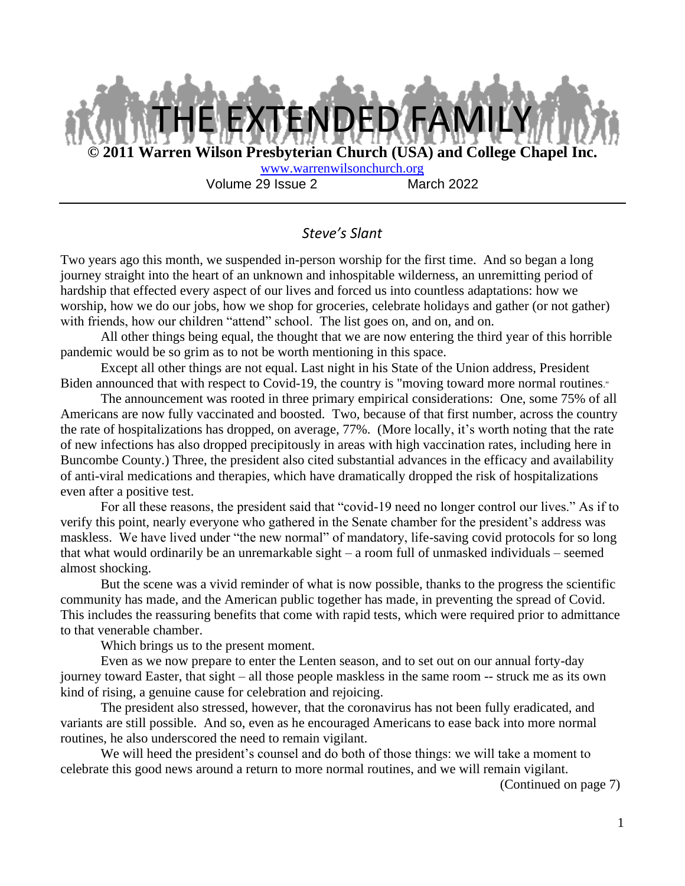

#### *Steve's Slant*

Two years ago this month, we suspended in-person worship for the first time. And so began a long journey straight into the heart of an unknown and inhospitable wilderness, an unremitting period of hardship that effected every aspect of our lives and forced us into countless adaptations: how we worship, how we do our jobs, how we shop for groceries, celebrate holidays and gather (or not gather) with friends, how our children "attend" school. The list goes on, and on, and on.

All other things being equal, the thought that we are now entering the third year of this horrible pandemic would be so grim as to not be worth mentioning in this space.

Except all other things are not equal. Last night in his State of the Union address, President Biden announced that with respect to Covid-19, the country is "moving toward more normal routines."

The announcement was rooted in three primary empirical considerations: One, some 75% of all Americans are now fully vaccinated and boosted. Two, because of that first number, across the country the rate of hospitalizations has dropped, on average, 77%. (More locally, it's worth noting that the rate of new infections has also dropped precipitously in areas with high vaccination rates, including here in Buncombe County.) Three, the president also cited substantial advances in the efficacy and availability of anti-viral medications and therapies, which have dramatically dropped the risk of hospitalizations even after a positive test.

For all these reasons, the president said that "covid-19 need no longer control our lives." As if to verify this point, nearly everyone who gathered in the Senate chamber for the president's address was maskless. We have lived under "the new normal" of mandatory, life-saving covid protocols for so long that what would ordinarily be an unremarkable sight – a room full of unmasked individuals – seemed almost shocking.

But the scene was a vivid reminder of what is now possible, thanks to the progress the scientific community has made, and the American public together has made, in preventing the spread of Covid. This includes the reassuring benefits that come with rapid tests, which were required prior to admittance to that venerable chamber.

Which brings us to the present moment.

Even as we now prepare to enter the Lenten season, and to set out on our annual forty-day journey toward Easter, that sight – all those people maskless in the same room -- struck me as its own kind of rising, a genuine cause for celebration and rejoicing.

The president also stressed, however, that the coronavirus has not been fully eradicated, and variants are still possible. And so, even as he encouraged Americans to ease back into more normal routines, he also underscored the need to remain vigilant.

We will heed the president's counsel and do both of those things: we will take a moment to celebrate this good news around a return to more normal routines, and we will remain vigilant.

(Continued on page 7)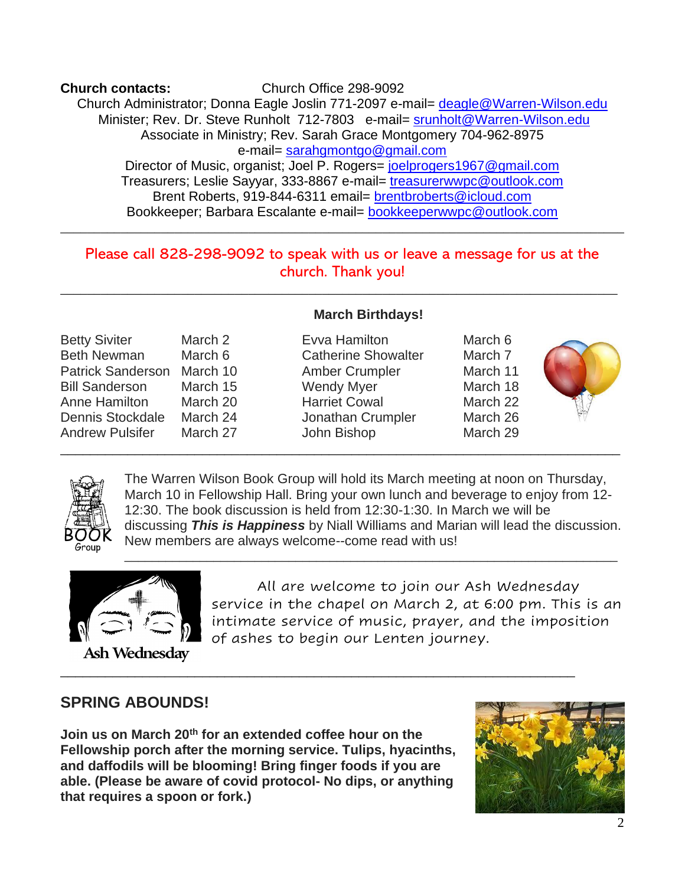**Church contacts:** Church Office 298-9092 Church Administrator; Donna Eagle Joslin 771-2097 e-mail= deagle@Warren-Wilson.edu Minister; Rev. Dr. Steve Runholt 712-7803 e-mail= srunholt@Warren-Wilson.edu Associate in Ministry; Rev. Sarah Grace Montgomery 704-962-8975 e-mail= sarahgmontgo@gmail.com Director of Music, organist; Joel P. Rogers= joelprogers1967@gmail.com Treasurers; Leslie Sayyar, 333-8867 e-mail= treasurerwwpc@outlook.com Brent Roberts, 919-844-6311 email= brentbroberts@icloud.com Bookkeeper; Barbara Escalante e-mail= bookkeeperwwpc@outlook.com

# Please call 828-298-9092 to speak with us or leave a message for us at the church. Thank you!

\_\_\_\_\_\_\_\_\_\_\_\_\_\_\_\_\_\_\_\_\_\_\_\_\_\_\_\_\_\_\_\_\_\_\_\_\_\_\_\_\_\_\_\_\_\_\_\_\_\_\_\_\_\_\_\_\_\_\_\_\_\_\_\_\_\_\_\_\_\_\_\_\_\_\_\_\_\_\_\_\_\_\_

\_\_\_\_\_\_\_\_\_\_\_\_\_\_\_\_\_\_\_\_\_\_\_\_\_\_\_\_\_\_\_\_\_\_\_\_\_\_\_\_\_\_\_\_\_\_\_\_\_\_\_\_\_\_\_\_\_\_\_\_\_\_\_\_\_\_\_\_\_\_\_\_\_\_\_

\_\_\_\_\_\_\_\_\_\_\_\_\_\_\_\_\_\_\_\_\_\_\_\_\_\_\_\_\_\_\_\_\_\_\_\_\_\_\_\_\_\_\_\_\_\_\_\_\_\_\_\_\_\_\_\_\_\_\_\_\_\_\_\_\_\_\_\_\_

\_\_\_\_\_\_\_\_\_\_\_\_\_\_\_\_\_\_\_\_\_\_\_\_\_\_\_\_\_\_\_\_\_\_\_\_\_\_\_\_\_\_\_\_\_\_\_\_\_\_\_\_\_\_\_\_\_\_\_\_\_\_\_\_\_\_\_\_\_\_\_\_\_\_\_\_\_\_\_\_\_\_\_\_

|  | <b>March Birthdays!</b> |
|--|-------------------------|
|--|-------------------------|

- Betty Siviter March 2 Evva Hamilton March 6 Beth Newman March 6 Catherine Showalter March 7 Patrick Sanderson March 10 Amber Crumpler March 11 Bill Sanderson March 15 Wendy Myer March 18 Anne Hamilton March 20 Harriet Cowal March 22 Dennis Stockdale March 24 Jonathan Crumpler March 26 Andrew Pulsifer March 27 John Bishop March 29
	-
- 





The Warren Wilson Book Group will hold its March meeting at noon on Thursday, March 10 in Fellowship Hall. Bring your own lunch and beverage to enjoy from 12- 12:30. The book discussion is held from 12:30-1:30. In March we will be discussing *This is Happiness* by Niall Williams and Marian will lead the discussion. New members are always welcome--come read with us!

\_\_\_\_\_\_\_\_\_\_\_\_\_\_\_\_\_\_\_\_\_\_\_\_\_\_\_\_\_\_\_\_\_\_\_\_\_\_\_\_\_\_\_\_\_\_\_\_\_\_\_\_\_\_\_\_\_\_\_\_\_\_\_\_\_\_\_\_\_\_\_\_



 All are welcome to join our Ash Wednesday service in the chapel on March 2, at 6:00 pm. This is an intimate service of music, prayer, and the imposition of ashes to begin our Lenten journey.

Ash Wednesday

# **SPRING ABOUNDS!**

**Join us on March 20th for an extended coffee hour on the Fellowship porch after the morning service. Tulips, hyacinths, and daffodils will be blooming! Bring finger foods if you are able. (Please be aware of covid protocol- No dips, or anything that requires a spoon or fork.)**

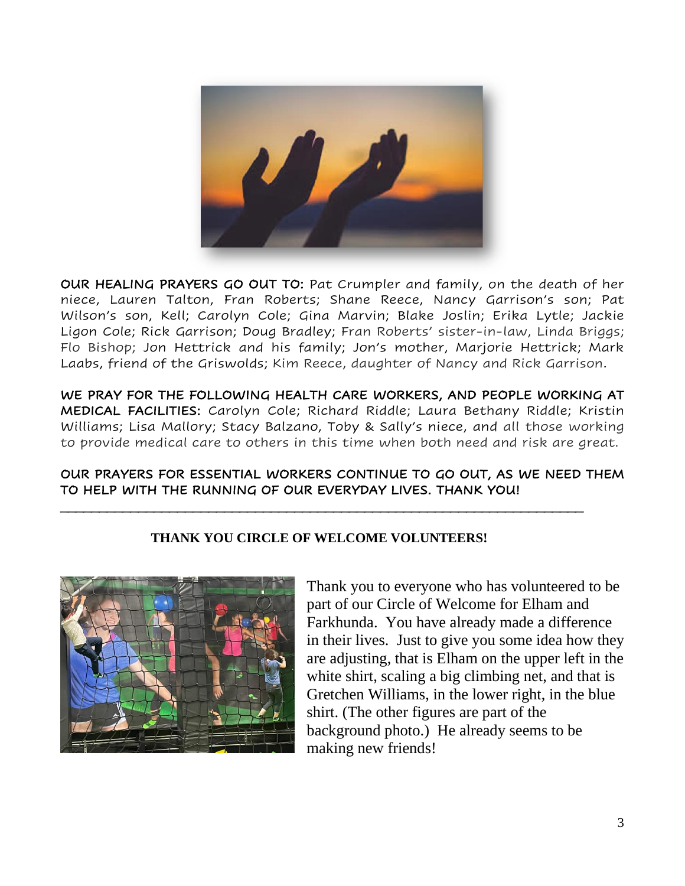

OUR HEALING PRAYERS GO OUT TO: Pat Crumpler and family, on the death of her niece, Lauren Talton, Fran Roberts; Shane Reece, Nancy Garrison's son; Pat Wilson's son, Kell; Carolyn Cole; Gina Marvin; Blake Joslin; Erika Lytle; Jackie Ligon Cole; Rick Garrison; Doug Bradley; Fran Roberts' sister-in-law, Linda Briggs; Flo Bishop; Jon Hettrick and his family; Jon's mother, Marjorie Hettrick; Mark Laabs, friend of the Griswolds; Kim Reece, daughter of Nancy and Rick Garrison.

WE PRAY FOR THE FOLLOWING HEALTH CARE WORKERS, AND PEOPLE WORKING AT MEDICAL FACILITIES: Carolyn Cole; Richard Riddle; Laura Bethany Riddle; Kristin Williams; Lisa Mallory; Stacy Balzano, Toby & Sally's niece, and all those working to provide medical care to others in this time when both need and risk are great.

#### OUR PRAYERS FOR ESSENTIAL WORKERS CONTINUE TO GO OUT, AS WE NEED THEM TO HELP WITH THE RUNNING OF OUR EVERYDAY LIVES. THANK YOU!

## **THANK YOU CIRCLE OF WELCOME VOLUNTEERS!**

\_\_\_\_\_\_\_\_\_\_\_\_\_\_\_\_\_\_\_\_\_\_\_\_\_\_\_\_\_\_\_\_\_\_\_\_\_\_\_\_\_\_\_\_\_\_\_\_\_\_\_\_\_\_\_\_\_\_\_\_\_\_\_\_\_\_\_



Thank you to everyone who has volunteered to be part of our Circle of Welcome for Elham and Farkhunda. You have already made a difference in their lives. Just to give you some idea how they are adjusting, that is Elham on the upper left in the white shirt, scaling a big climbing net, and that is Gretchen Williams, in the lower right, in the blue shirt. (The other figures are part of the background photo.) He already seems to be making new friends!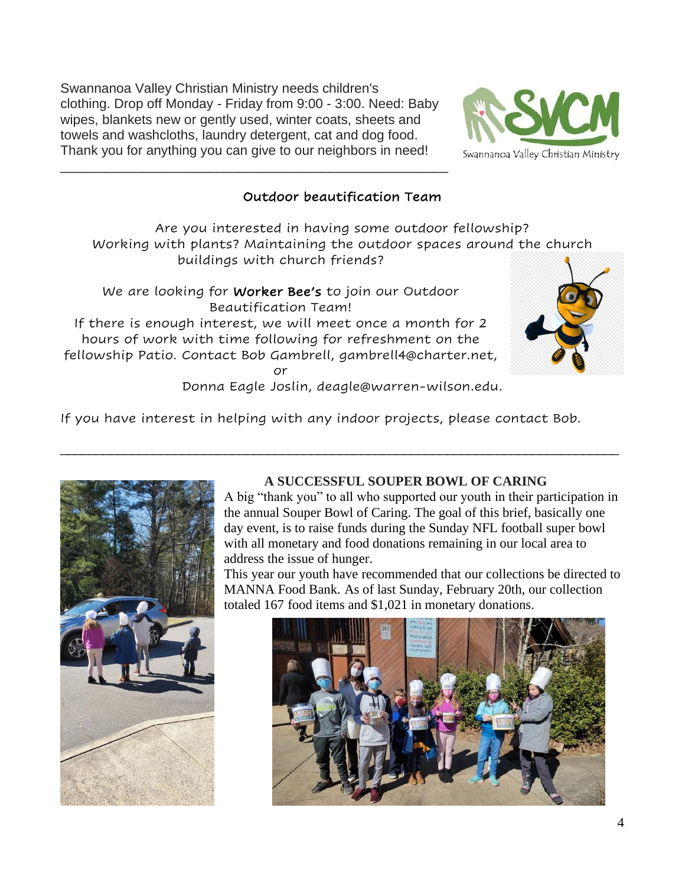Swannanoa Valley Christian Ministry needs children's clothing. Drop off Monday - Friday from 9:00 - 3:00. Need: Baby wipes, blankets new or gently used, winter coats, sheets and towels and washcloths, laundry detergent, cat and dog food. Thank you for anything you can give to our neighbors in need!

\_\_\_\_\_\_\_\_\_\_\_\_\_\_\_\_\_\_\_\_\_\_\_\_\_\_\_\_\_\_\_\_\_\_\_\_\_\_\_\_\_\_\_\_\_\_\_\_\_\_\_\_



# Outdoor beautification Team

Are you interested in having some outdoor fellowship? Working with plants? Maintaining the outdoor spaces around the church buildings with church friends?

We are looking for Worker Bee's to join our Outdoor Beautification Team! If there is enough interest, we will meet once a month for 2

hours of work with time following for refreshment on the fellowship Patio. Contact Bob Gambrell, gambrell4@charter.net,

or



Donna Eagle Joslin, deagle@warren-wilson.edu.

\_\_\_\_\_\_\_\_\_\_\_\_\_\_\_\_\_\_\_\_\_\_\_\_\_\_\_\_\_\_\_\_\_\_\_\_\_\_\_\_\_\_\_\_\_\_\_\_\_\_\_\_\_\_\_\_\_\_\_\_\_\_\_\_\_\_\_\_\_\_\_\_\_\_\_\_\_\_

If you have interest in helping with any indoor projects, please contact Bob.



## **A SUCCESSFUL SOUPER BOWL OF CARING**

A big "thank you" to all who supported our youth in their participation in the annual Souper Bowl of Caring. The goal of this brief, basically one day event, is to raise funds during the Sunday NFL football super bowl with all monetary and food donations remaining in our local area to address the issue of hunger.

This year our youth have recommended that our collections be directed to MANNA Food Bank. As of last Sunday, February 20th, our collection totaled 167 food items and \$1,021 in monetary donations.

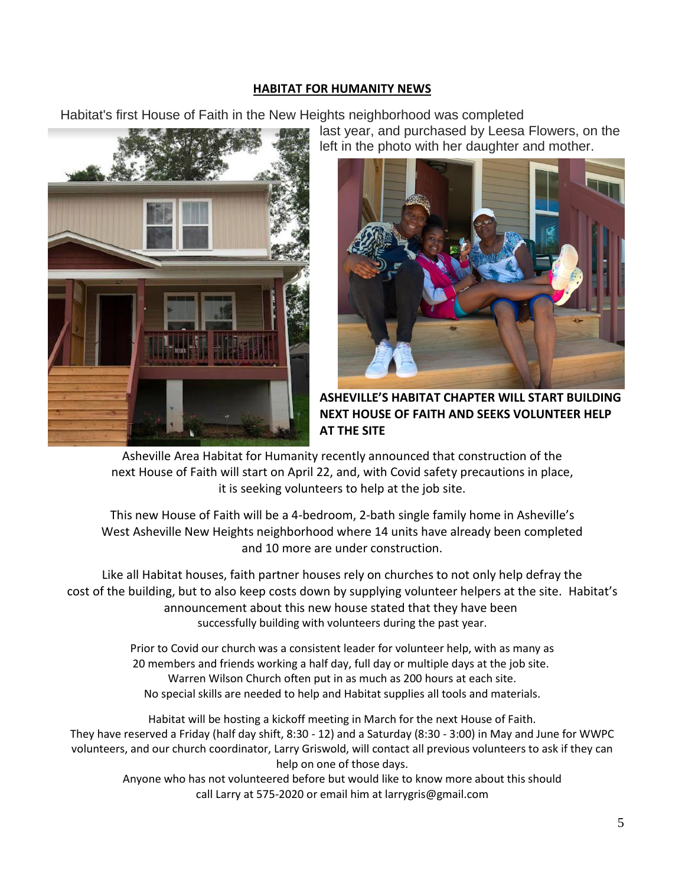#### **HABITAT FOR HUMANITY NEWS**

Habitat's first House of Faith in the New Heights neighborhood was completed



last year, and purchased by Leesa Flowers, on the left in the photo with her daughter and mother.



**ASHEVILLE'S HABITAT CHAPTER WILL START BUILDING NEXT HOUSE OF FAITH AND SEEKS VOLUNTEER HELP AT THE SITE**

Asheville Area Habitat for Humanity recently announced that construction of the next House of Faith will start on April 22, and, with Covid safety precautions in place, it is seeking volunteers to help at the job site.

This new House of Faith will be a 4-bedroom, 2-bath single family home in Asheville's West Asheville New Heights neighborhood where 14 units have already been completed and 10 more are under construction.

Like all Habitat houses, faith partner houses rely on churches to not only help defray the cost of the building, but to also keep costs down by supplying volunteer helpers at the site. Habitat's announcement about this new house stated that they have been successfully building with volunteers during the past year.

> Prior to Covid our church was a consistent leader for volunteer help, with as many as 20 members and friends working a half day, full day or multiple days at the job site. Warren Wilson Church often put in as much as 200 hours at each site. No special skills are needed to help and Habitat supplies all tools and materials.

Habitat will be hosting a kickoff meeting in March for the next House of Faith. They have reserved a Friday (half day shift, 8:30 - 12) and a Saturday (8:30 - 3:00) in May and June for WWPC volunteers, and our church coordinator, Larry Griswold, will contact all previous volunteers to ask if they can help on one of those days.

Anyone who has not volunteered before but would like to know more about this should call Larry at 575-2020 or email him at larrygris@gmail.com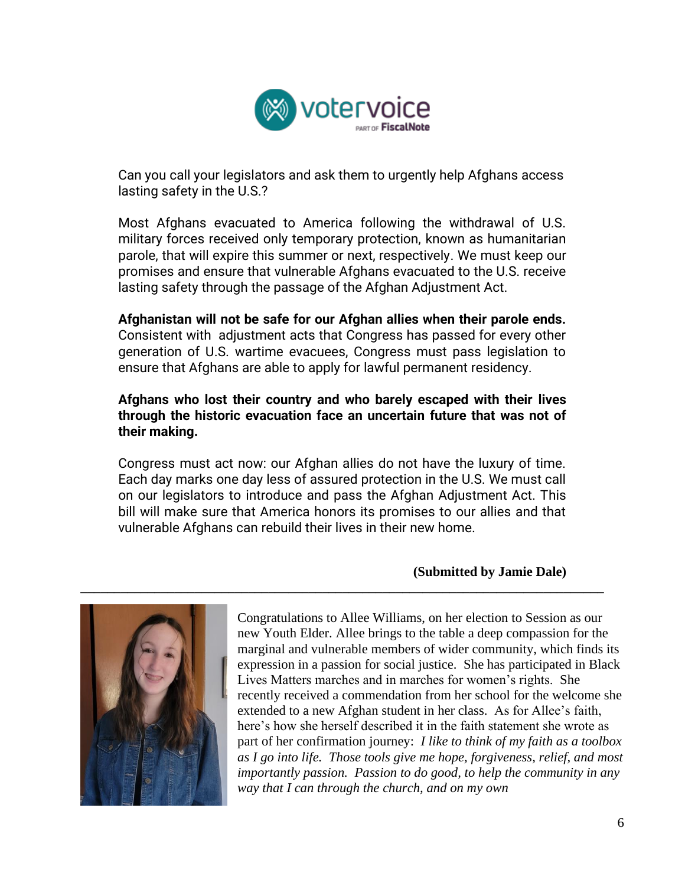

Can you call your legislators and ask them to urgently help Afghans access lasting safety in the U.S.?

Most Afghans evacuated to America following the withdrawal of U.S. military forces received only temporary protection, known as humanitarian parole, that will expire this summer or next, respectively. We must keep our promises and ensure that vulnerable Afghans evacuated to the U.S. receive lasting safety through the passage of the Afghan Adjustment Act.

**Afghanistan will not be safe for our Afghan allies when their parole ends.** Consistent with adjustment acts that Congress has passed for every other generation of U.S. wartime evacuees, Congress must pass legislation to ensure that Afghans are able to apply for lawful permanent residency.

#### **Afghans who lost their country and who barely escaped with their lives through the historic evacuation face an uncertain future that was not of their making.**

Congress must act now: our Afghan allies do not have the luxury of time. Each day marks one day less of assured protection in the U.S. We must call on our legislators to introduce and pass the Afghan Adjustment Act. This bill will make sure that America honors its promises to our allies and that vulnerable Afghans can rebuild their lives in their new home.

**\_\_\_\_\_\_\_\_\_\_\_\_\_\_\_\_\_\_\_\_\_\_\_\_\_\_\_\_\_\_\_\_\_\_\_\_\_\_\_\_\_\_\_\_\_\_\_\_\_\_\_\_\_\_\_\_\_\_\_\_\_\_\_\_\_\_\_\_\_\_\_\_\_\_\_\_\_\_**

#### **(Submitted by Jamie Dale)**



Congratulations to Allee Williams, on her election to Session as our new Youth Elder. Allee brings to the table a deep compassion for the marginal and vulnerable members of wider community, which finds its expression in a passion for social justice. She has participated in Black Lives Matters marches and in marches for women's rights. She recently received a commendation from her school for the welcome she extended to a new Afghan student in her class. As for Allee's faith, here's how she herself described it in the faith statement she wrote as part of her confirmation journey: *I like to think of my faith as a toolbox as I go into life. Those tools give me hope, forgiveness, relief, and most importantly passion. Passion to do good, to help the community in any way that I can through the church, and on my own*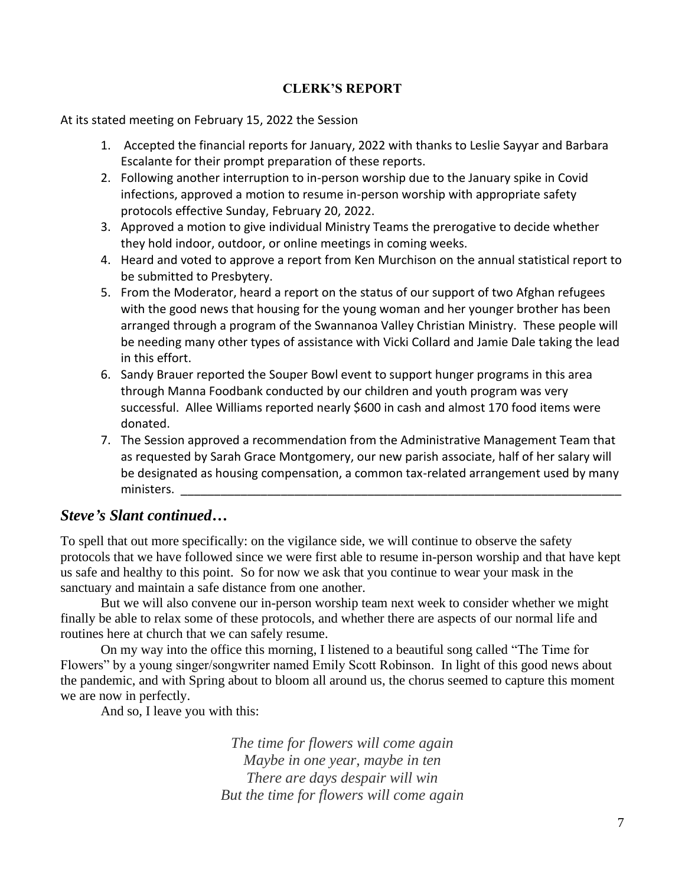#### **CLERK'S REPORT**

At its stated meeting on February 15, 2022 the Session

- 1. Accepted the financial reports for January, 2022 with thanks to Leslie Sayyar and Barbara Escalante for their prompt preparation of these reports.
- 2. Following another interruption to in-person worship due to the January spike in Covid infections, approved a motion to resume in-person worship with appropriate safety protocols effective Sunday, February 20, 2022.
- 3. Approved a motion to give individual Ministry Teams the prerogative to decide whether they hold indoor, outdoor, or online meetings in coming weeks.
- 4. Heard and voted to approve a report from Ken Murchison on the annual statistical report to be submitted to Presbytery.
- 5. From the Moderator, heard a report on the status of our support of two Afghan refugees with the good news that housing for the young woman and her younger brother has been arranged through a program of the Swannanoa Valley Christian Ministry. These people will be needing many other types of assistance with Vicki Collard and Jamie Dale taking the lead in this effort.
- 6. Sandy Brauer reported the Souper Bowl event to support hunger programs in this area through Manna Foodbank conducted by our children and youth program was very successful. Allee Williams reported nearly \$600 in cash and almost 170 food items were donated.
- 7. The Session approved a recommendation from the Administrative Management Team that as requested by Sarah Grace Montgomery, our new parish associate, half of her salary will be designated as housing compensation, a common tax-related arrangement used by many ministers.

# *Steve's Slant continued…*

To spell that out more specifically: on the vigilance side, we will continue to observe the safety protocols that we have followed since we were first able to resume in-person worship and that have kept us safe and healthy to this point. So for now we ask that you continue to wear your mask in the sanctuary and maintain a safe distance from one another.

But we will also convene our in-person worship team next week to consider whether we might finally be able to relax some of these protocols, and whether there are aspects of our normal life and routines here at church that we can safely resume.

On my way into the office this morning, I listened to a beautiful song called "The Time for Flowers" by a young singer/songwriter named Emily Scott Robinson. In light of this good news about the pandemic, and with Spring about to bloom all around us, the chorus seemed to capture this moment we are now in perfectly.

And so, I leave you with this:

*The time for flowers will come again Maybe in one year, maybe in ten There are days despair will win But the time for flowers will come again*